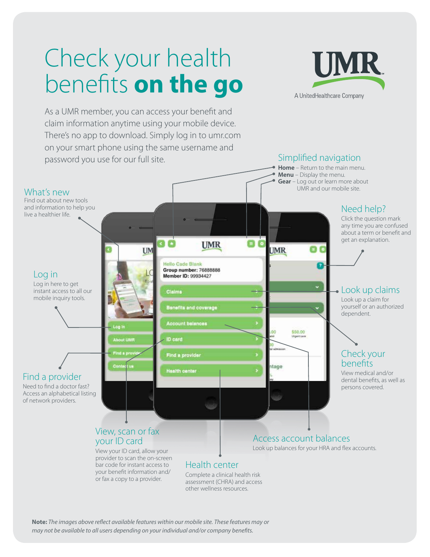# Check your health benefits **on the go**



As a UMR member, you can access your benefit and claim information anytime using your mobile device. There's no app to download. Simply log in to umr.com on your smart phone using the same username and password you use for our full site.



other wellness resources.

**Note:** *The images above reflect available features within our mobile site. These features may or may not be available to all users depending on your individual and/or company benefits.*